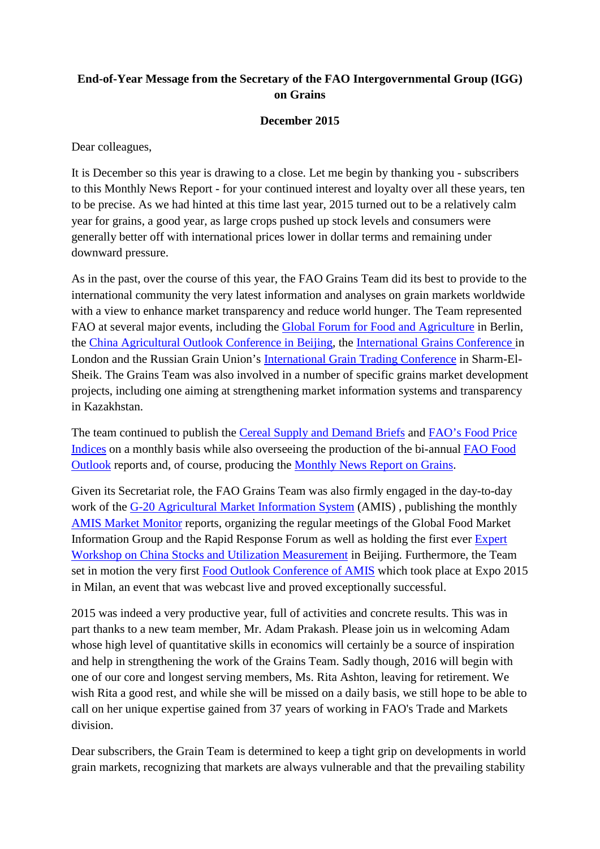## **End-of-Year Message from the Secretary of the FAO Intergovernmental Group (IGG) on Grains**

## **December 2015**

Dear colleagues,

It is December so this year is drawing to a close. Let me begin by thanking you - subscribers to this Monthly News Report - for your continued interest and loyalty over all these years, ten to be precise. As we had hinted at this time last year, 2015 turned out to be a relatively calm year for grains, a good year, as large crops pushed up stock levels and consumers were generally better off with international prices lower in dollar terms and remaining under downward pressure.

As in the past, over the course of this year, the FAO Grains Team did its best to provide to the international community the very latest information and analyses on grain markets worldwide with a view to enhance market transparency and reduce world hunger. The Team represented FAO at several major events, including the [Global Forum for Food and Agriculture](http://www.gffa-berlin.de/en/) in Berlin, the [China Agricultural Outlook Conference in Beijing,](http://english.agri.gov.cn/news/dqnf/201504/t20150421_25453.htm) the [International Grains Conference i](http://www.igc.int/en/conference/confhome.aspx)n London and the Russian Grain Union's [International Grain Trading Conference](http://www.grun.ru/en/events/detail.php?SECTION_ID=155&ID=8959) in Sharm-El-Sheik. The Grains Team was also involved in a number of specific grains market development projects, including one aiming at strengthening market information systems and transparency in Kazakhstan.

The team continued to publish the [Cereal Supply and Demand Briefs](http://www.fao.org/worldfoodsituation/csdb/en/) and [FAO's Food Price](http://www.fao.org/worldfoodsituation/foodpricesindex/en/)  [Indices](http://www.fao.org/worldfoodsituation/foodpricesindex/en/) on a monthly basis while also overseeing the production of the bi-annual [FAO Food](http://www.fao.org/giews/english/fo/index.htm)  [Outlook](http://www.fao.org/giews/english/fo/index.htm) reports and, of course, producing the [Monthly News Report on Grains.](http://www.fao.org/economic/est/publications/grains-publications/monthly-news-report-on-grains-mnr/en/)

Given its Secretariat role, the FAO Grains Team was also firmly engaged in the day-to-day work of the [G-20 Agricultural Market Information System](http://www.amis-outlook.org/) (AMIS), publishing the monthly [AMIS Market Monitor](http://www.amis-outlook.org/amis-monitoring/monthly-report/en/) reports, organizing the regular meetings of the Global Food Market Information Group and the Rapid Response Forum as well as holding the first ever [Expert](http://www.amis-outlook.org/events/detail/en/c/295725/)  [Workshop on China Stocks and Utilization Measurement](http://www.amis-outlook.org/events/detail/en/c/295725/) in Beijing. Furthermore, the Team set in motion the very first [Food Outlook Conference of AMIS](http://www.amis-outlook.org/news/detail/en/c/332041/) which took place at Expo 2015 in Milan, an event that was webcast live and proved exceptionally successful.

2015 was indeed a very productive year, full of activities and concrete results. This was in part thanks to a new team member, Mr. Adam Prakash. Please join us in welcoming Adam whose high level of quantitative skills in economics will certainly be a source of inspiration and help in strengthening the work of the Grains Team. Sadly though, 2016 will begin with one of our core and longest serving members, Ms. Rita Ashton, leaving for retirement. We wish Rita a good rest, and while she will be missed on a daily basis, we still hope to be able to call on her unique expertise gained from 37 years of working in FAO's Trade and Markets division.

Dear subscribers, the Grain Team is determined to keep a tight grip on developments in world grain markets, recognizing that markets are always vulnerable and that the prevailing stability